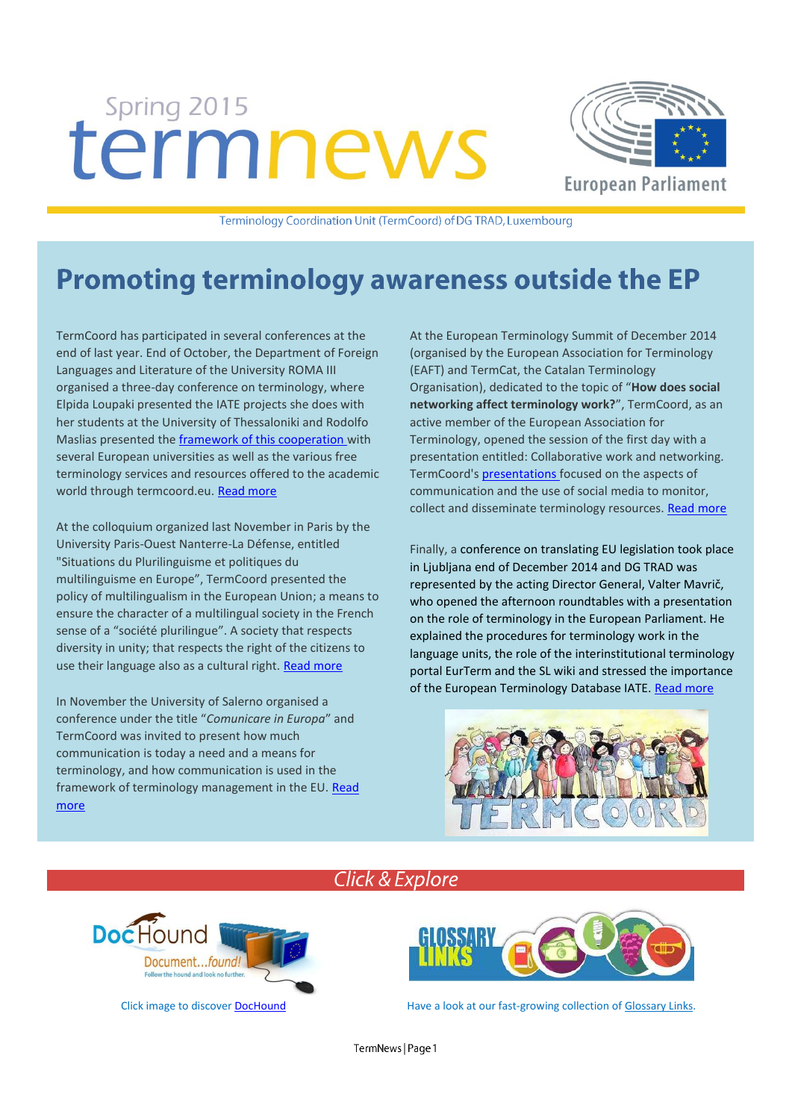# Spring 2015 termnews



Terminology Coordination Unit (TermCoord) of DG TRAD, Luxembourg

## **Promoting terminology awareness outside the EP**

TermCoord has participated in several conferences at the end of last year. End of October, the Department of Foreign Languages and Literature of the University ROMA III organised a three-day conference on terminology, where Elpida Loupaki presented the IATE projects she does with her students at the University of Thessaloniki and Rodolfo Maslias presented th[e framework of this cooperation](http://termcoord.eu/universities/cooperation-with-universities-on-terminology-projects/) with several European universities as well as the various free terminology services and resources offered to the academic world through termcoord.eu. [Read more](http://termcoord.eu/2014/10/terms-terminology-european-context-academic-insider-conference-2/)

At the colloquium organized last November in Paris by the University Paris-Ouest Nanterre-La Défense, entitled "Situations du Plurilinguisme et politiques du multilinguisme en Europe", TermCoord presented the policy of multilingualism in the European Union; a means to ensure the character of a multilingual society in the French sense of a "société plurilingue". A society that respects diversity in unity; that respects the right of the citizens to use their language also as a cultural right. [Read more](http://termcoord.eu/2014/11/multilinguisme-vs-plurilinguisme-termcoord-colloquium-paris/)

In November the University of Salerno organised a conference under the title "*Comunicare in Europa*" and TermCoord was invited to present how much communication is today a need and a means for terminology, and how communication is used in the framework of terminology management in the EU[. Read](http://termcoord.eu/2014/11/terminology-meets-european-citizen/)  [more](http://termcoord.eu/2014/11/terminology-meets-european-citizen/)

At the European Terminology Summit of December 2014 (organised by the European Association for Terminology (EAFT) and TermCat, the Catalan Terminology Organisation), dedicated to the topic of "**How does social networking affect terminology work?**", TermCoord, as an active member of the European Association for Terminology, opened the session of the first day with a presentation entitled: Collaborative work and networking. TermCoord'[s presentations](http://www.termcoord.eu/wp-content/uploads/2014/12/Terminology-and-communication_EN.pdf) focused on the aspects of communication and the use of social media to monitor, collect and disseminate terminology resources. [Read more](http://termcoord.eu/2014/12/european-terminology-summit/)

Finally, a conference on translating EU legislation took place in Ljubljana end of December 2014 and DG TRAD was represented by the acting Director General, Valter Mavrič, who opened the afternoon roundtables with a presentation on the role of terminology in the European Parliament. He explained the procedures for terminology work in the language units, the role of the interinstitutional terminology portal EurTerm and the SL wiki and stressed the importance of the European Terminology Database IATE. [Read more](http://tradportal.ep.parl.union.eu/terminology/conference-on-translating-eu-legislation/)





## **Click & Explore**



Click image to discove[r DocHound](http://termcoord.eu/dochound/) **Have a look at our fast-growing collection o[f Glossary Links.](http://termcoord.eu/glossarylinks/)**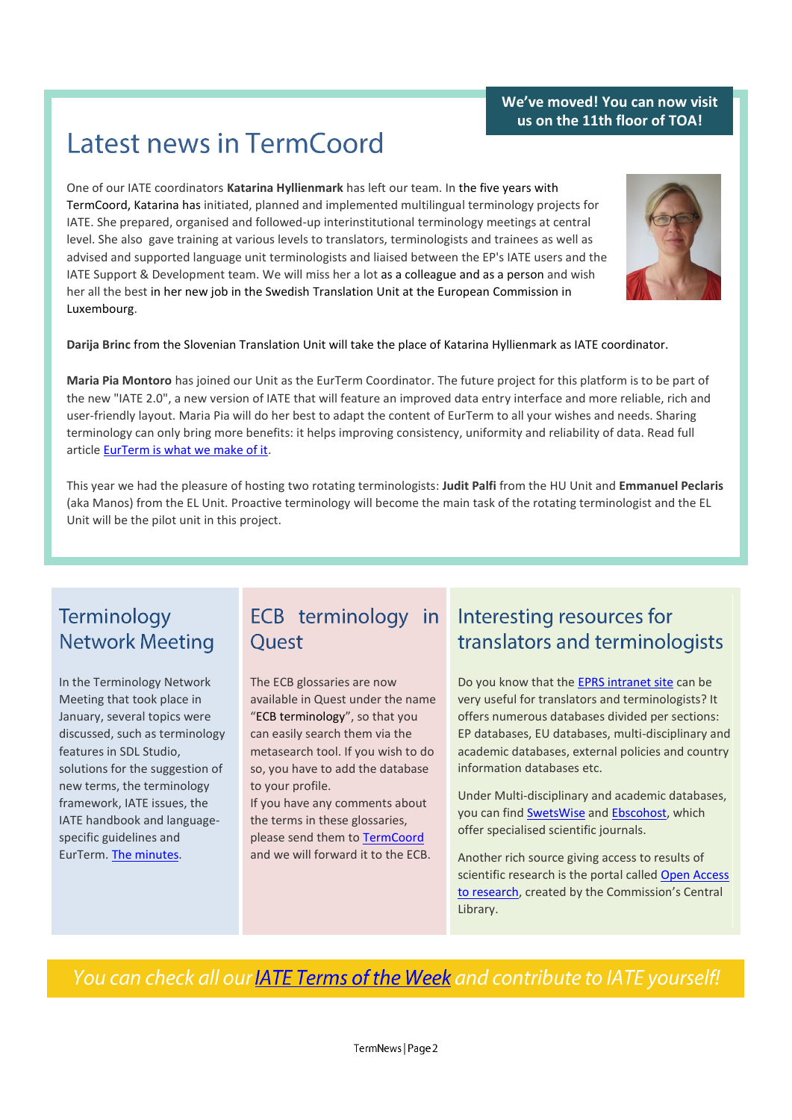### **We've moved! You can now visit us on the 11th floor of TOA!**

## **Latest news in TermCoord**

One of our IATE coordinators **Katarina Hyllienmark** has left our team. In the five years with TermCoord, Katarina has initiated, planned and implemented multilingual terminology projects for IATE. She prepared, organised and followed-up interinstitutional terminology meetings at central level. She also gave training at various levels to translators, terminologists and trainees as well as advised and supported language unit terminologists and liaised between the EP's IATE users and the IATE Support & Development team. We will miss her a lot as a colleague and as a person and wish her all the best in her new job in the Swedish Translation Unit at the European Commission in Luxembourg.



**Darija Brinc** from the Slovenian Translation Unit will take the place of Katarina Hyllienmark as IATE coordinator.

**Maria Pia Montoro** has joined our Unit as the EurTerm Coordinator. The future project for this platform is to be part of the new "IATE 2.0", a new version of IATE that will feature an improved data entry interface and more reliable, rich and user-friendly layout. Maria Pia will do her best to adapt the content of EurTerm to all your wishes and needs. Sharing terminology can only bring more benefits: it helps improving consistency, uniformity and reliability of data. Read full article [EurTerm is what we make of it.](https://webgate.ec.europa.eu/fpfis/wikis/display/iatetp/2015/02/18/EurTerm+is+what+we+make+of+it)

This year we had the pleasure of hosting two rotating terminologists: **Judit Palfi** from the HU Unit and **Emmanuel Peclaris** (aka Manos) from the EL Unit. Proactive terminology will become the main task of the rotating terminologist and the EL Unit will be the pilot unit in this project.

## Terminology **Network Meeting**

In the Terminology Network Meeting that took place in January, several topics were discussed, such as terminology features in SDL Studio, solutions for the suggestion of new terms, the terminology framework, IATE issues, the IATE handbook and languagespecific guidelines and EurTerm. [The minutes.](http://tradportal.ep.parl.union.eu/terminology/files/2015/01/Minutes_TNM_201501191.pdf)

## Quest

The ECB glossaries are now available in Quest under the name "ECB terminology", so that you can easily search them via the metasearch tool. If you wish to do so, you have to add the database to your profile.

If you have any comments about the terms in these glossaries, please send them to [TermCoord](mailto:dgtrad.termcoord@europarl.europa.eu) and we will forward it to the ECB.

## ECB terminology in Interesting resources for translators and terminologists

Do you know that th[e EPRS intranet site](http://www.eprs.sso.ep.parl.union.eu/eprs/auth/en/databases-external.html) can be very useful for translators and terminologists? It offers numerous databases divided per sections: EP databases, EU databases, multi-disciplinary and academic databases, external policies and country information databases etc.

Under Multi-disciplinary and academic databases, you can find [SwetsWise](https://www.swetswise.com/idp/Authn/UserPassword) and [Ebscohost,](http://search.ebscohost.com/login.aspx?authtype=ip,uid&profile=ehost) which offer specialised scientific journals.

Another rich source giving access to results of scientific research is the portal called Open Access [to research](http://www.netvibes.com/open-access#Home), created by the Commission's Central Library.

You can check all our **IATE Terms of the Week** and contribute to IATE yourself!